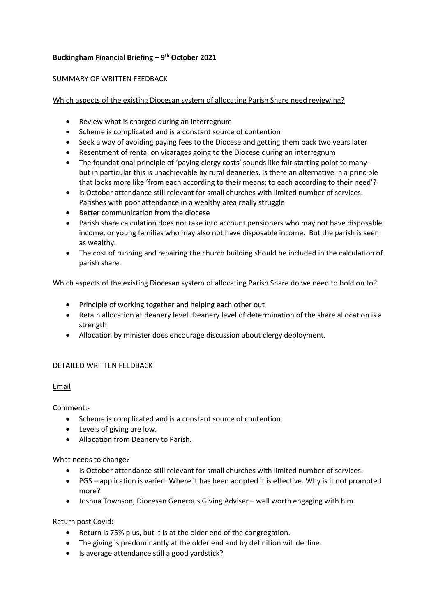# Buckingham Financial Briefing  $-9<sup>th</sup>$  October 2021

### SUMMARY OF WRITTEN FEEDBACK

# Which aspects of the existing Diocesan system of allocating Parish Share need reviewing?

- Review what is charged during an interregnum
- Scheme is complicated and is a constant source of contention
- Seek a way of avoiding paying fees to the Diocese and getting them back two years later
- Resentment of rental on vicarages going to the Diocese during an interregnum
- The foundational principle of 'paying clergy costs' sounds like fair starting point to many but in particular this is unachievable by rural deaneries. Is there an alternative in a principle that looks more like 'from each according to their means; to each according to their need'?
- Is October attendance still relevant for small churches with limited number of services. Parishes with poor attendance in a wealthy area really struggle
- Better communication from the diocese
- Parish share calculation does not take into account pensioners who may not have disposable income, or young families who may also not have disposable income. But the parish is seen as wealthy.
- The cost of running and repairing the church building should be included in the calculation of parish share.

### Which aspects of the existing Diocesan system of allocating Parish Share do we need to hold on to?

- Principle of working together and helping each other out
- Retain allocation at deanery level. Deanery level of determination of the share allocation is a strength
- Allocation by minister does encourage discussion about clergy deployment.

# DETAILED WRITTEN FEEDBACK

# Email

Comment:-

- Scheme is complicated and is a constant source of contention.
- Levels of giving are low.
- Allocation from Deanery to Parish.

What needs to change?

- Is October attendance still relevant for small churches with limited number of services.
- PGS application is varied. Where it has been adopted it is effective. Why is it not promoted more?
- Joshua Townson, Diocesan Generous Giving Adviser well worth engaging with him.

Return post Covid:

- Return is 75% plus, but it is at the older end of the congregation.
- The giving is predominantly at the older end and by definition will decline.
- Is average attendance still a good yardstick?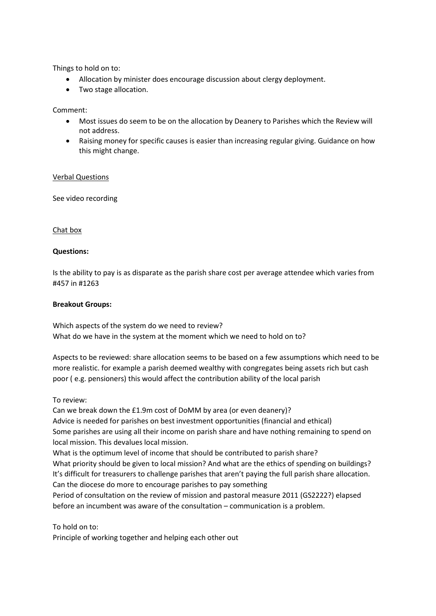Things to hold on to:

- Allocation by minister does encourage discussion about clergy deployment.
- Two stage allocation.

Comment:

- Most issues do seem to be on the allocation by Deanery to Parishes which the Review will not address.
- Raising money for specific causes is easier than increasing regular giving. Guidance on how this might change.

#### Verbal Questions

See video recording

#### Chat box

#### Questions:

Is the ability to pay is as disparate as the parish share cost per average attendee which varies from #457 in #1263

#### Breakout Groups:

Which aspects of the system do we need to review? What do we have in the system at the moment which we need to hold on to?

Aspects to be reviewed: share allocation seems to be based on a few assumptions which need to be more realistic. for example a parish deemed wealthy with congregates being assets rich but cash poor ( e.g. pensioners) this would affect the contribution ability of the local parish

To review:

Can we break down the £1.9m cost of DoMM by area (or even deanery)?

Advice is needed for parishes on best investment opportunities (financial and ethical) Some parishes are using all their income on parish share and have nothing remaining to spend on local mission. This devalues local mission.

What is the optimum level of income that should be contributed to parish share?

What priority should be given to local mission? And what are the ethics of spending on buildings? It's difficult for treasurers to challenge parishes that aren't paying the full parish share allocation. Can the diocese do more to encourage parishes to pay something

Period of consultation on the review of mission and pastoral measure 2011 (GS2222?) elapsed before an incumbent was aware of the consultation – communication is a problem.

To hold on to:

Principle of working together and helping each other out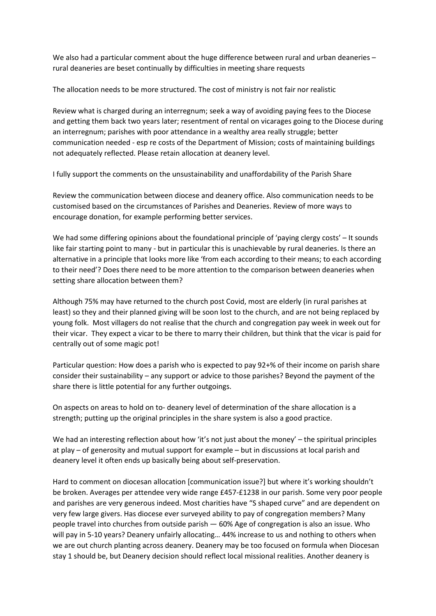We also had a particular comment about the huge difference between rural and urban deaneries rural deaneries are beset continually by difficulties in meeting share requests

The allocation needs to be more structured. The cost of ministry is not fair nor realistic

Review what is charged during an interregnum; seek a way of avoiding paying fees to the Diocese and getting them back two years later; resentment of rental on vicarages going to the Diocese during an interregnum; parishes with poor attendance in a wealthy area really struggle; better communication needed - esp re costs of the Department of Mission; costs of maintaining buildings not adequately reflected. Please retain allocation at deanery level.

I fully support the comments on the unsustainability and unaffordability of the Parish Share

Review the communication between diocese and deanery office. Also communication needs to be customised based on the circumstances of Parishes and Deaneries. Review of more ways to encourage donation, for example performing better services.

We had some differing opinions about the foundational principle of 'paying clergy costs' – It sounds like fair starting point to many - but in particular this is unachievable by rural deaneries. Is there an alternative in a principle that looks more like 'from each according to their means; to each according to their need'? Does there need to be more attention to the comparison between deaneries when setting share allocation between them?

Although 75% may have returned to the church post Covid, most are elderly (in rural parishes at least) so they and their planned giving will be soon lost to the church, and are not being replaced by young folk. Most villagers do not realise that the church and congregation pay week in week out for their vicar. They expect a vicar to be there to marry their children, but think that the vicar is paid for centrally out of some magic pot!

Particular question: How does a parish who is expected to pay 92+% of their income on parish share consider their sustainability – any support or advice to those parishes? Beyond the payment of the share there is little potential for any further outgoings.

On aspects on areas to hold on to- deanery level of determination of the share allocation is a strength; putting up the original principles in the share system is also a good practice.

We had an interesting reflection about how 'it's not just about the money' – the spiritual principles at play – of generosity and mutual support for example – but in discussions at local parish and deanery level it often ends up basically being about self-preservation.

Hard to comment on diocesan allocation [communication issue?] but where it's working shouldn't be broken. Averages per attendee very wide range £457-£1238 in our parish. Some very poor people and parishes are very generous indeed. Most charities have "S shaped curve" and are dependent on very few large givers. Has diocese ever surveyed ability to pay of congregation members? Many people travel into churches from outside parish — 60% Age of congregation is also an issue. Who will pay in 5-10 years? Deanery unfairly allocating… 44% increase to us and nothing to others when we are out church planting across deanery. Deanery may be too focused on formula when Diocesan stay 1 should be, but Deanery decision should reflect local missional realities. Another deanery is